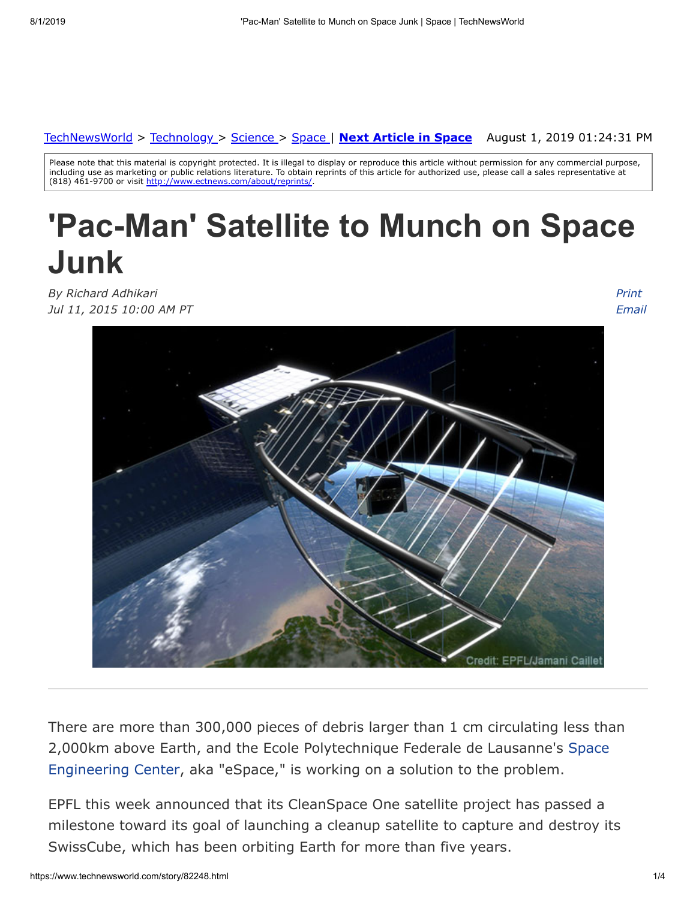#### August 1, 2019 01:24:31 PM [TechNewsWorld](https://www.technewsworld.com/) > [Technology](https://www.technewsworld.com/perl/section/technology/) > [Science](https://www.technewsworld.com/perl/section/science/) > [Space](https://www.technewsworld.com/perl/section/space/) | **[Next Article in Space](https://www.technewsworld.com/story/space/82228.html)**

Please note that this material is copyright protected. It is illegal to display or reproduce this article without permission for any commercial purpose, including use as marketing or public relations literature. To obtain reprints of this article for authorized use, please call a sales representative at (818) 461-9700 or visit <http://www.ectnews.com/about/reprints/>

# **'Pac-Man' Satellite to Munch on Space Junk**

*By Richard Adhikari Jul 11, 2015 10:00 AM PT*

*Print [Email](https://www.technewsworld.com/perl/mailit/?id=82248)*



There are more than 300,000 pieces of debris larger than 1 cm circulating less than [2,000km above Earth, and the Ecole Polytechnique Federale de Lausanne's Space](http://espace.epfl.ch/) Engineering Center, aka "eSpace," is working on a solution to the problem.

EPFL this week announced that its CleanSpace One satellite project has passed a milestone toward its goal of launching a cleanup satellite to capture and destroy its SwissCube, which has been orbiting Earth for more than five years.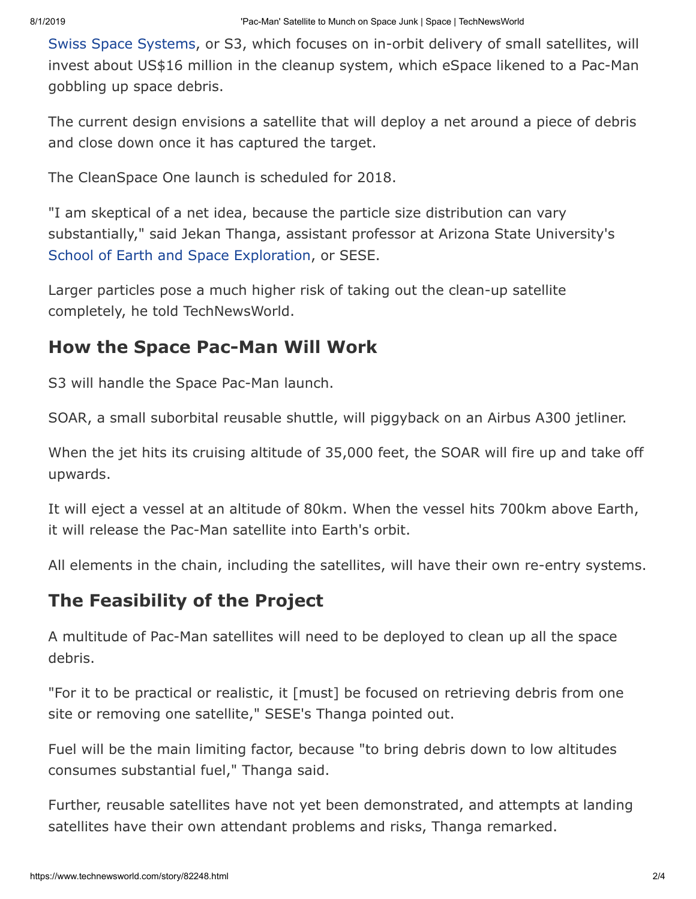[Swiss Space Systems](http://www.s-3.ch/en/home), or S3, which focuses on in-orbit delivery of small satellites, will invest about US\$16 million in the cleanup system, which eSpace likened to a Pac-Man gobbling up space debris.

The current design envisions a satellite that will deploy a net around a piece of debris and close down once it has captured the target.

The CleanSpace One launch is scheduled for 2018.

"I am skeptical of a net idea, because the particle size distribution can vary substantially," said Jekan Thanga, assistant professor at Arizona State University's [School of Earth and Space Exploration,](http://sese.asu.edu/) or SESE.

Larger particles pose a much higher risk of taking out the clean-up satellite completely, he told TechNewsWorld.

#### **How the Space Pac-Man Will Work**

S3 will handle the Space Pac-Man launch.

SOAR, a small suborbital reusable shuttle, will piggyback on an Airbus A300 jetliner.

When the jet hits its cruising altitude of 35,000 feet, the SOAR will fire up and take off upwards.

It will eject a vessel at an altitude of 80km. When the vessel hits 700km above Earth, it will release the Pac-Man satellite into Earth's orbit.

All elements in the chain, including the satellites, will have their own re-entry systems.

#### **The Feasibility of the Project**

A multitude of Pac-Man satellites will need to be deployed to clean up all the space debris.

"For it to be practical or realistic, it [must] be focused on retrieving debris from one site or removing one satellite," SESE's Thanga pointed out.

Fuel will be the main limiting factor, because "to bring debris down to low altitudes consumes substantial fuel," Thanga said.

Further, reusable satellites have not yet been demonstrated, and attempts at landing satellites have their own attendant problems and risks, Thanga remarked.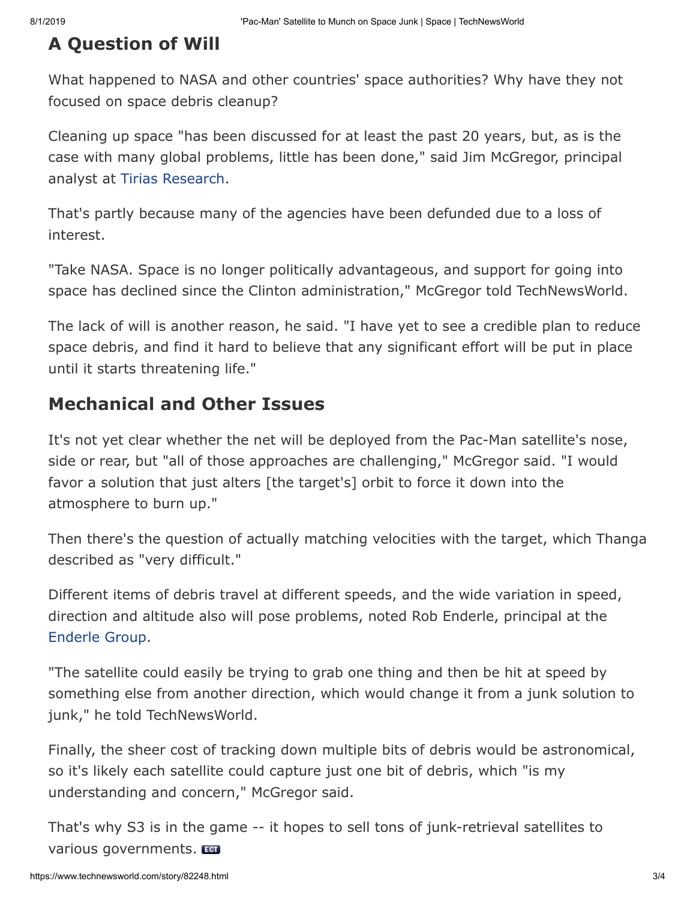### **A Question of Will**

What happened to NASA and other countries' space authorities? Why have they not focused on space debris cleanup?

Cleaning up space "has been discussed for at least the past 20 years, but, as is the case with many global problems, little has been done," said Jim McGregor, principal analyst at [Tirias Research.](http://www.tiriasresearch.com/)

That's partly because many of the agencies have been defunded due to a loss of interest.

"Take NASA. Space is no longer politically advantageous, and support for going into space has declined since the Clinton administration," McGregor told TechNewsWorld.

The lack of will is another reason, he said. "I have yet to see a credible plan to reduce space debris, and find it hard to believe that any significant effort will be put in place until it starts threatening life."

#### **Mechanical and Other Issues**

It's not yet clear whether the net will be deployed from the Pac-Man satellite's nose, side or rear, but "all of those approaches are challenging," McGregor said. "I would favor a solution that just alters [the target's] orbit to force it down into the atmosphere to burn up."

Then there's the question of actually matching velocities with the target, which Thanga described as "very difficult."

Different items of debris travel at different speeds, and the wide variation in speed, direction and altitude also will pose problems, noted Rob Enderle, principal at the [Enderle Group.](http://www.enderlegroup.com/)

"The satellite could easily be trying to grab one thing and then be hit at speed by something else from another direction, which would change it from a junk solution to junk," he told TechNewsWorld.

Finally, the sheer cost of tracking down multiple bits of debris would be astronomical, so it's likely each satellite could capture just one bit of debris, which "is my understanding and concern," McGregor said.

That's why S3 is in the game -- it hopes to sell tons of junk-retrieval satellites to various governments.